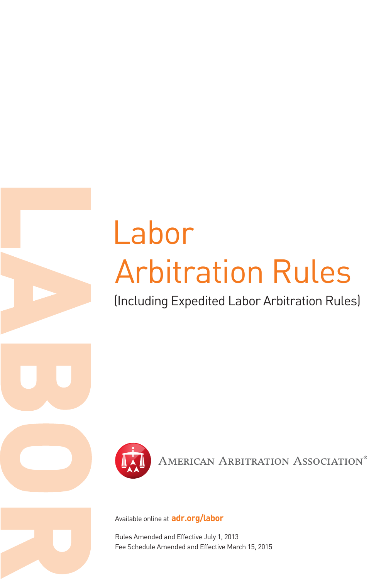# Labor Arbitration Rules

(Including Expedited Labor Arbitration Rules)



AMERICAN ARBITRATION ASSOCIATION®

Available online at **adr.org/labor**

Rules Amended and Effective July 1, 2013 Fee Schedule Amended and Effective March 15, 2015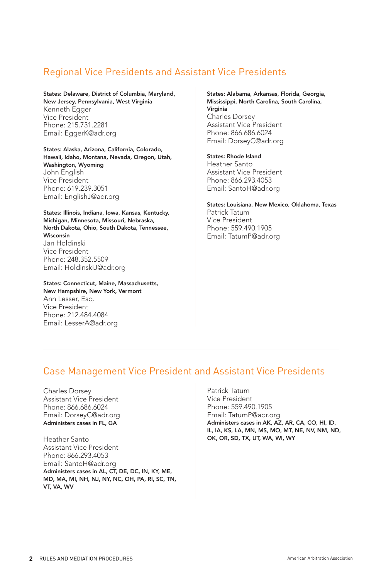### Regional Vice Presidents and Assistant Vice Presidents

#### States: Delaware, District of Columbia, Maryland, New Jersey, Pennsylvania, West Virginia Kenneth Egger Vice President Phone: 215.731.2281 Email: EggerK@adr.org

#### States: Alaska, Arizona, California, Colorado, Hawaii, Idaho, Montana, Nevada, Oregon, Utah, Washington, Wyoming John English Vice President Phone: 619.239.3051 Email: EnglishJ@adr.org

#### States: Illinois, Indiana, Iowa, Kansas, Kentucky, Michigan, Minnesota, Missouri, Nebraska, North Dakota, Ohio, South Dakota, Tennessee, Wisconsin Jan Holdinski Vice President Phone: 248.352.5509 Email: HoldinskiJ@adr.org

States: Connecticut, Maine, Massachusetts, New Hampshire, New York, Vermont Ann Lesser, Esq. Vice President Phone: 212.484.4084 Email: LesserA@adr.org

States: Alabama, Arkansas, Florida, Georgia, Mississippi, North Carolina, South Carolina, Virginia Charles Dorsey Assistant Vice President Phone: 866.686.6024 Email: DorseyC@adr.org

#### States: Rhode Island Heather Santo Assistant Vice President

#### Phone: 866.293.4053 Email: SantoH@adr.org

#### States: Louisiana, New Mexico, Oklahoma, Texas Patrick Tatum Vice President Phone: 559.490.1905

Email: TatumP@adr.org

## Case Management Vice President and Assistant Vice Presidents

Charles Dorsey Assistant Vice President Phone: 866.686.6024 Email: DorseyC@adr.org Administers cases in FL, GA

Heather Santo Assistant Vice President Phone: 866.293.4053 Email: SantoH@adr.org Administers cases in AL, CT, DE, DC, IN, KY, ME, MD, MA, MI, NH, NJ, NY, NC, OH, PA, RI, SC, TN, VT, VA, WV

Patrick Tatum Vice President Phone: 559.490.1905 Email: TatumP@adr.org Administers cases in AK, AZ, AR, CA, CO, HI, ID, IL, IA, KS, LA, MN, MS, MO, MT, NE, NV, NM, ND, OK, OR, SD, TX, UT, WA, WI, WY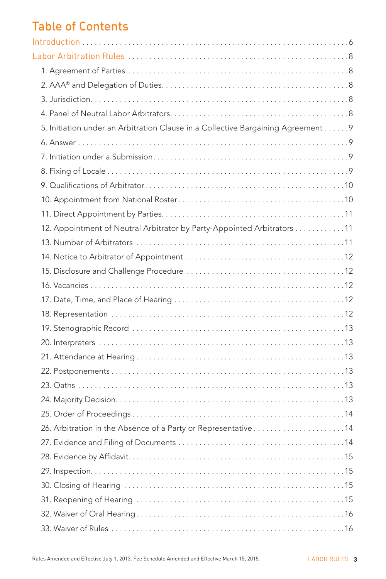# Table of Contents

| 5. Initiation under an Arbitration Clause in a Collective Bargaining Agreement 9 |
|----------------------------------------------------------------------------------|
|                                                                                  |
|                                                                                  |
|                                                                                  |
|                                                                                  |
|                                                                                  |
|                                                                                  |
| 12. Appointment of Neutral Arbitrator by Party-Appointed Arbitrators 11          |
|                                                                                  |
|                                                                                  |
|                                                                                  |
|                                                                                  |
|                                                                                  |
|                                                                                  |
|                                                                                  |
|                                                                                  |
|                                                                                  |
|                                                                                  |
|                                                                                  |
|                                                                                  |
|                                                                                  |
|                                                                                  |
|                                                                                  |
|                                                                                  |
|                                                                                  |
|                                                                                  |
|                                                                                  |
|                                                                                  |
|                                                                                  |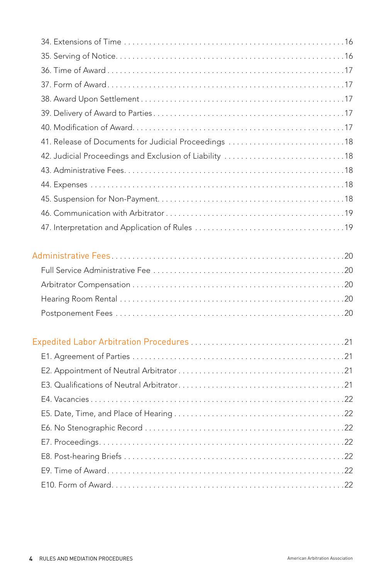| 41. Release of Documents for Judicial Proceedings 18 |  |
|------------------------------------------------------|--|
|                                                      |  |
|                                                      |  |
|                                                      |  |
|                                                      |  |
|                                                      |  |
|                                                      |  |
|                                                      |  |
|                                                      |  |
|                                                      |  |
|                                                      |  |
|                                                      |  |
|                                                      |  |
|                                                      |  |
|                                                      |  |
|                                                      |  |
|                                                      |  |
|                                                      |  |
|                                                      |  |
|                                                      |  |
|                                                      |  |
|                                                      |  |
|                                                      |  |
|                                                      |  |
|                                                      |  |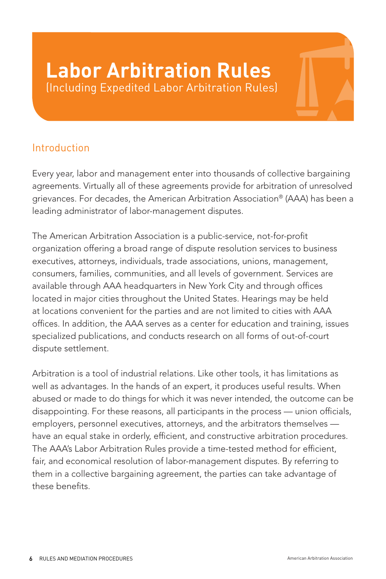# **Labor Arbitration Rules** (Including Expedited Labor Arbitration Rules)

# Introduction

Every year, labor and management enter into thousands of collective bargaining agreements. Virtually all of these agreements provide for arbitration of unresolved grievances. For decades, the American Arbitration Association® (AAA) has been a leading administrator of labor-management disputes.

The American Arbitration Association is a public-service, not-for-profit organization offering a broad range of dispute resolution services to business executives, attorneys, individuals, trade associations, unions, management, consumers, families, communities, and all levels of government. Services are available through AAA headquarters in New York City and through offices located in major cities throughout the United States. Hearings may be held at locations convenient for the parties and are not limited to cities with AAA offices. In addition, the AAA serves as a center for education and training, issues specialized publications, and conducts research on all forms of out-of-court dispute settlement.

Arbitration is a tool of industrial relations. Like other tools, it has limitations as well as advantages. In the hands of an expert, it produces useful results. When abused or made to do things for which it was never intended, the outcome can be disappointing. For these reasons, all participants in the process — union officials, employers, personnel executives, attorneys, and the arbitrators themselves have an equal stake in orderly, efficient, and constructive arbitration procedures. The AAA's Labor Arbitration Rules provide a time-tested method for efficient, fair, and economical resolution of labor-management disputes. By referring to them in a collective bargaining agreement, the parties can take advantage of these benefits.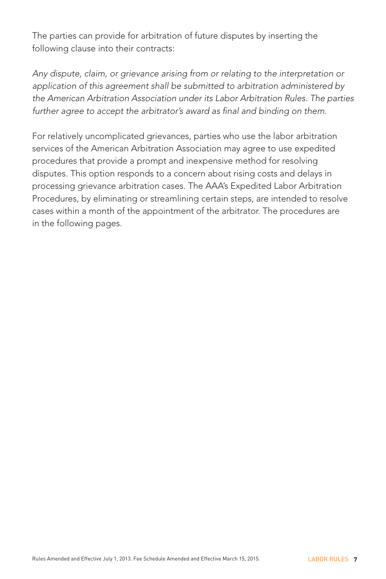The parties can provide for arbitration of future disputes by inserting the following clause into their contracts:

*Any dispute, claim, or grievance arising from or relating to the interpretation or application of this agreement shall be submitted to arbitration administered by the American Arbitration Association under its Labor Arbitration Rules. The parties further agree to accept the arbitrator's award as final and binding on them.*

For relatively uncomplicated grievances, parties who use the labor arbitration services of the American Arbitration Association may agree to use expedited procedures that provide a prompt and inexpensive method for resolving disputes. This option responds to a concern about rising costs and delays in processing grievance arbitration cases. The AAA's Expedited Labor Arbitration Procedures, by eliminating or streamlining certain steps, are intended to resolve cases within a month of the appointment of the arbitrator. The procedures are in the following pages.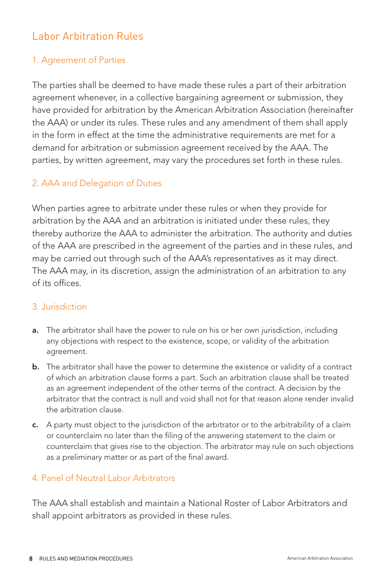# Labor Arbitration Rules

#### 1. Agreement of Parties

The parties shall be deemed to have made these rules a part of their arbitration agreement whenever, in a collective bargaining agreement or submission, they have provided for arbitration by the American Arbitration Association (hereinafter the AAA) or under its rules. These rules and any amendment of them shall apply in the form in effect at the time the administrative requirements are met for a demand for arbitration or submission agreement received by the AAA. The parties, by written agreement, may vary the procedures set forth in these rules.

#### 2. AAA and Delegation of Duties

When parties agree to arbitrate under these rules or when they provide for arbitration by the AAA and an arbitration is initiated under these rules, they thereby authorize the AAA to administer the arbitration. The authority and duties of the AAA are prescribed in the agreement of the parties and in these rules, and may be carried out through such of the AAA's representatives as it may direct. The AAA may, in its discretion, assign the administration of an arbitration to any of its offices.

#### 3. Jurisdiction

- **a.** The arbitrator shall have the power to rule on his or her own jurisdiction, including any objections with respect to the existence, scope, or validity of the arbitration agreement.
- b. The arbitrator shall have the power to determine the existence or validity of a contract of which an arbitration clause forms a part. Such an arbitration clause shall be treated as an agreement independent of the other terms of the contract. A decision by the arbitrator that the contract is null and void shall not for that reason alone render invalid the arbitration clause.
- c. A party must object to the jurisdiction of the arbitrator or to the arbitrability of a claim or counterclaim no later than the filing of the answering statement to the claim or counterclaim that gives rise to the objection. The arbitrator may rule on such objections as a preliminary matter or as part of the final award.

#### 4. Panel of Neutral Labor Arbitrators

The AAA shall establish and maintain a National Roster of Labor Arbitrators and shall appoint arbitrators as provided in these rules.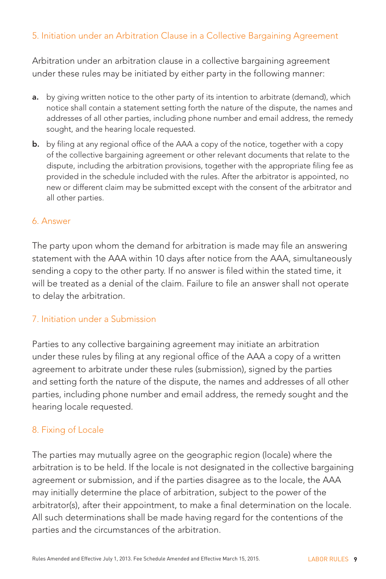#### 5. Initiation under an Arbitration Clause in a Collective Bargaining Agreement

Arbitration under an arbitration clause in a collective bargaining agreement under these rules may be initiated by either party in the following manner:

- a. by giving written notice to the other party of its intention to arbitrate (demand), which notice shall contain a statement setting forth the nature of the dispute, the names and addresses of all other parties, including phone number and email address, the remedy sought, and the hearing locale requested.
- b. by filing at any regional office of the AAA a copy of the notice, together with a copy of the collective bargaining agreement or other relevant documents that relate to the dispute, including the arbitration provisions, together with the appropriate filing fee as provided in the schedule included with the rules. After the arbitrator is appointed, no new or different claim may be submitted except with the consent of the arbitrator and all other parties.

#### 6. Answer

The party upon whom the demand for arbitration is made may file an answering statement with the AAA within 10 days after notice from the AAA, simultaneously sending a copy to the other party. If no answer is filed within the stated time, it will be treated as a denial of the claim. Failure to file an answer shall not operate to delay the arbitration.

#### 7. Initiation under a Submission

Parties to any collective bargaining agreement may initiate an arbitration under these rules by filing at any regional office of the AAA a copy of a written agreement to arbitrate under these rules (submission), signed by the parties and setting forth the nature of the dispute, the names and addresses of all other parties, including phone number and email address, the remedy sought and the hearing locale requested.

#### 8. Fixing of Locale

The parties may mutually agree on the geographic region (locale) where the arbitration is to be held. If the locale is not designated in the collective bargaining agreement or submission, and if the parties disagree as to the locale, the AAA may initially determine the place of arbitration, subject to the power of the arbitrator(s), after their appointment, to make a final determination on the locale. All such determinations shall be made having regard for the contentions of the parties and the circumstances of the arbitration.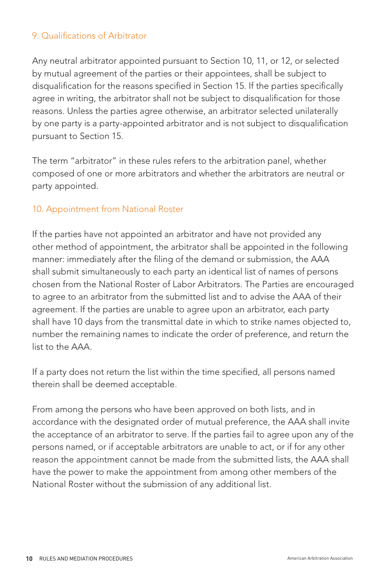#### 9. Qualifications of Arbitrator

Any neutral arbitrator appointed pursuant to Section 10, 11, or 12, or selected by mutual agreement of the parties or their appointees, shall be subject to disqualification for the reasons specified in Section 15. If the parties specifically agree in writing, the arbitrator shall not be subject to disqualification for those reasons. Unless the parties agree otherwise, an arbitrator selected unilaterally by one party is a party-appointed arbitrator and is not subject to disqualification pursuant to Section 15.

The term "arbitrator" in these rules refers to the arbitration panel, whether composed of one or more arbitrators and whether the arbitrators are neutral or party appointed.

#### 10. Appointment from National Roster

If the parties have not appointed an arbitrator and have not provided any other method of appointment, the arbitrator shall be appointed in the following manner: immediately after the filing of the demand or submission, the AAA shall submit simultaneously to each party an identical list of names of persons chosen from the National Roster of Labor Arbitrators. The Parties are encouraged to agree to an arbitrator from the submitted list and to advise the AAA of their agreement. If the parties are unable to agree upon an arbitrator, each party shall have 10 days from the transmittal date in which to strike names objected to, number the remaining names to indicate the order of preference, and return the list to the AAA.

If a party does not return the list within the time specified, all persons named therein shall be deemed acceptable.

From among the persons who have been approved on both lists, and in accordance with the designated order of mutual preference, the AAA shall invite the acceptance of an arbitrator to serve. If the parties fail to agree upon any of the persons named, or if acceptable arbitrators are unable to act, or if for any other reason the appointment cannot be made from the submitted lists, the AAA shall have the power to make the appointment from among other members of the National Roster without the submission of any additional list.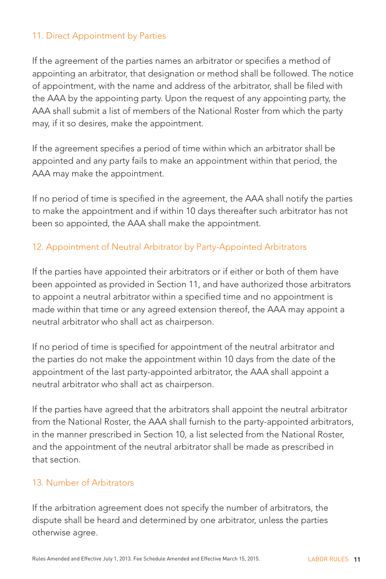#### 11. Direct Appointment by Parties

If the agreement of the parties names an arbitrator or specifies a method of appointing an arbitrator, that designation or method shall be followed. The notice of appointment, with the name and address of the arbitrator, shall be filed with the AAA by the appointing party. Upon the request of any appointing party, the AAA shall submit a list of members of the National Roster from which the party may, if it so desires, make the appointment.

If the agreement specifies a period of time within which an arbitrator shall be appointed and any party fails to make an appointment within that period, the AAA may make the appointment.

If no period of time is specified in the agreement, the AAA shall notify the parties to make the appointment and if within 10 days thereafter such arbitrator has not been so appointed, the AAA shall make the appointment.

#### 12. Appointment of Neutral Arbitrator by Party-Appointed Arbitrators

If the parties have appointed their arbitrators or if either or both of them have been appointed as provided in Section 11, and have authorized those arbitrators to appoint a neutral arbitrator within a specified time and no appointment is made within that time or any agreed extension thereof, the AAA may appoint a neutral arbitrator who shall act as chairperson.

If no period of time is specified for appointment of the neutral arbitrator and the parties do not make the appointment within 10 days from the date of the appointment of the last party-appointed arbitrator, the AAA shall appoint a neutral arbitrator who shall act as chairperson.

If the parties have agreed that the arbitrators shall appoint the neutral arbitrator from the National Roster, the AAA shall furnish to the party-appointed arbitrators, in the manner prescribed in Section 10, a list selected from the National Roster, and the appointment of the neutral arbitrator shall be made as prescribed in that section.

#### 13. Number of Arbitrators

If the arbitration agreement does not specify the number of arbitrators, the dispute shall be heard and determined by one arbitrator, unless the parties otherwise agree.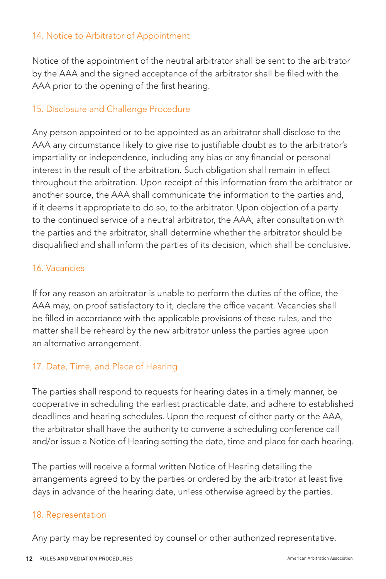#### 14. Notice to Arbitrator of Appointment

Notice of the appointment of the neutral arbitrator shall be sent to the arbitrator by the AAA and the signed acceptance of the arbitrator shall be filed with the AAA prior to the opening of the first hearing.

#### 15. Disclosure and Challenge Procedure

Any person appointed or to be appointed as an arbitrator shall disclose to the AAA any circumstance likely to give rise to justifiable doubt as to the arbitrator's impartiality or independence, including any bias or any financial or personal interest in the result of the arbitration. Such obligation shall remain in effect throughout the arbitration. Upon receipt of this information from the arbitrator or another source, the AAA shall communicate the information to the parties and, if it deems it appropriate to do so, to the arbitrator. Upon objection of a party to the continued service of a neutral arbitrator, the AAA, after consultation with the parties and the arbitrator, shall determine whether the arbitrator should be disqualified and shall inform the parties of its decision, which shall be conclusive.

#### 16. Vacancies

If for any reason an arbitrator is unable to perform the duties of the office, the AAA may, on proof satisfactory to it, declare the office vacant. Vacancies shall be filled in accordance with the applicable provisions of these rules, and the matter shall be reheard by the new arbitrator unless the parties agree upon an alternative arrangement.

### 17. Date, Time, and Place of Hearing

The parties shall respond to requests for hearing dates in a timely manner, be cooperative in scheduling the earliest practicable date, and adhere to established deadlines and hearing schedules. Upon the request of either party or the AAA, the arbitrator shall have the authority to convene a scheduling conference call and/or issue a Notice of Hearing setting the date, time and place for each hearing.

The parties will receive a formal written Notice of Hearing detailing the arrangements agreed to by the parties or ordered by the arbitrator at least five days in advance of the hearing date, unless otherwise agreed by the parties.

#### 18. Representation

Any party may be represented by counsel or other authorized representative.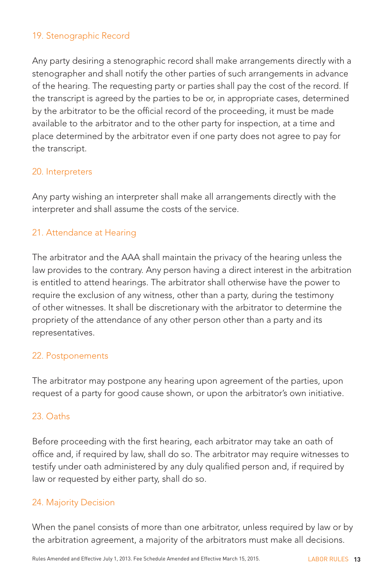#### 19. Stenographic Record

Any party desiring a stenographic record shall make arrangements directly with a stenographer and shall notify the other parties of such arrangements in advance of the hearing. The requesting party or parties shall pay the cost of the record. If the transcript is agreed by the parties to be or, in appropriate cases, determined by the arbitrator to be the official record of the proceeding, it must be made available to the arbitrator and to the other party for inspection, at a time and place determined by the arbitrator even if one party does not agree to pay for the transcript.

#### 20. Interpreters

Any party wishing an interpreter shall make all arrangements directly with the interpreter and shall assume the costs of the service.

#### 21. Attendance at Hearing

The arbitrator and the AAA shall maintain the privacy of the hearing unless the law provides to the contrary. Any person having a direct interest in the arbitration is entitled to attend hearings. The arbitrator shall otherwise have the power to require the exclusion of any witness, other than a party, during the testimony of other witnesses. It shall be discretionary with the arbitrator to determine the propriety of the attendance of any other person other than a party and its representatives.

#### 22. Postponements

The arbitrator may postpone any hearing upon agreement of the parties, upon request of a party for good cause shown, or upon the arbitrator's own initiative.

#### 23. Oaths

Before proceeding with the first hearing, each arbitrator may take an oath of office and, if required by law, shall do so. The arbitrator may require witnesses to testify under oath administered by any duly qualified person and, if required by law or requested by either party, shall do so.

#### 24. Majority Decision

When the panel consists of more than one arbitrator, unless required by law or by the arbitration agreement, a majority of the arbitrators must make all decisions.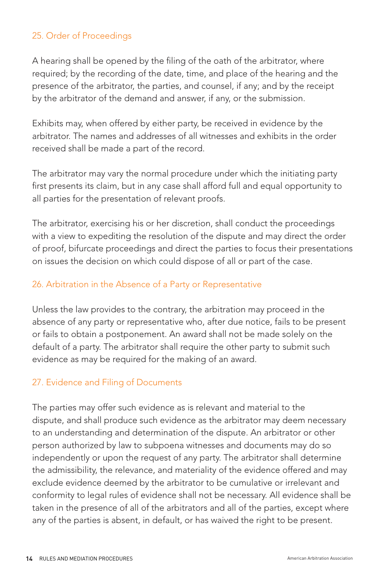#### 25. Order of Proceedings

A hearing shall be opened by the filing of the oath of the arbitrator, where required; by the recording of the date, time, and place of the hearing and the presence of the arbitrator, the parties, and counsel, if any; and by the receipt by the arbitrator of the demand and answer, if any, or the submission.

Exhibits may, when offered by either party, be received in evidence by the arbitrator. The names and addresses of all witnesses and exhibits in the order received shall be made a part of the record.

The arbitrator may vary the normal procedure under which the initiating party first presents its claim, but in any case shall afford full and equal opportunity to all parties for the presentation of relevant proofs.

The arbitrator, exercising his or her discretion, shall conduct the proceedings with a view to expediting the resolution of the dispute and may direct the order of proof, bifurcate proceedings and direct the parties to focus their presentations on issues the decision on which could dispose of all or part of the case.

#### 26. Arbitration in the Absence of a Party or Representative

Unless the law provides to the contrary, the arbitration may proceed in the absence of any party or representative who, after due notice, fails to be present or fails to obtain a postponement. An award shall not be made solely on the default of a party. The arbitrator shall require the other party to submit such evidence as may be required for the making of an award.

#### 27. Evidence and Filing of Documents

The parties may offer such evidence as is relevant and material to the dispute, and shall produce such evidence as the arbitrator may deem necessary to an understanding and determination of the dispute. An arbitrator or other person authorized by law to subpoena witnesses and documents may do so independently or upon the request of any party. The arbitrator shall determine the admissibility, the relevance, and materiality of the evidence offered and may exclude evidence deemed by the arbitrator to be cumulative or irrelevant and conformity to legal rules of evidence shall not be necessary. All evidence shall be taken in the presence of all of the arbitrators and all of the parties, except where any of the parties is absent, in default, or has waived the right to be present.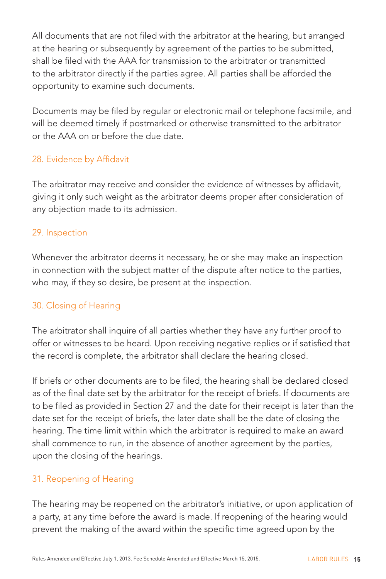All documents that are not filed with the arbitrator at the hearing, but arranged at the hearing or subsequently by agreement of the parties to be submitted, shall be filed with the AAA for transmission to the arbitrator or transmitted to the arbitrator directly if the parties agree. All parties shall be afforded the opportunity to examine such documents.

Documents may be filed by regular or electronic mail or telephone facsimile, and will be deemed timely if postmarked or otherwise transmitted to the arbitrator or the AAA on or before the due date.

#### 28. Evidence by Affidavit

The arbitrator may receive and consider the evidence of witnesses by affidavit, giving it only such weight as the arbitrator deems proper after consideration of any objection made to its admission.

#### 29. Inspection

Whenever the arbitrator deems it necessary, he or she may make an inspection in connection with the subject matter of the dispute after notice to the parties, who may, if they so desire, be present at the inspection.

#### 30. Closing of Hearing

The arbitrator shall inquire of all parties whether they have any further proof to offer or witnesses to be heard. Upon receiving negative replies or if satisfied that the record is complete, the arbitrator shall declare the hearing closed.

If briefs or other documents are to be filed, the hearing shall be declared closed as of the final date set by the arbitrator for the receipt of briefs. If documents are to be filed as provided in Section 27 and the date for their receipt is later than the date set for the receipt of briefs, the later date shall be the date of closing the hearing. The time limit within which the arbitrator is required to make an award shall commence to run, in the absence of another agreement by the parties, upon the closing of the hearings.

#### 31. Reopening of Hearing

The hearing may be reopened on the arbitrator's initiative, or upon application of a party, at any time before the award is made. If reopening of the hearing would prevent the making of the award within the specific time agreed upon by the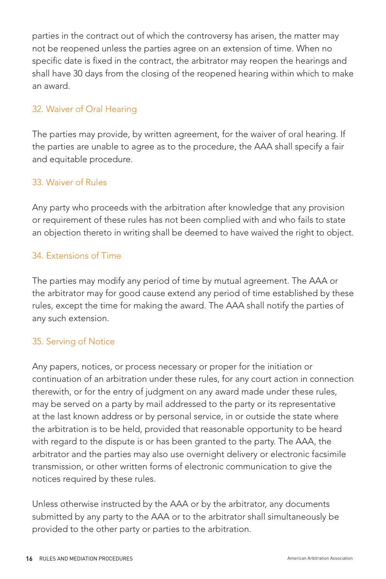parties in the contract out of which the controversy has arisen, the matter may not be reopened unless the parties agree on an extension of time. When no specific date is fixed in the contract, the arbitrator may reopen the hearings and shall have 30 days from the closing of the reopened hearing within which to make an award.

#### 32. Waiver of Oral Hearing

The parties may provide, by written agreement, for the waiver of oral hearing. If the parties are unable to agree as to the procedure, the AAA shall specify a fair and equitable procedure.

#### 33. Waiver of Rules

Any party who proceeds with the arbitration after knowledge that any provision or requirement of these rules has not been complied with and who fails to state an objection thereto in writing shall be deemed to have waived the right to object.

#### 34. Extensions of Time

The parties may modify any period of time by mutual agreement. The AAA or the arbitrator may for good cause extend any period of time established by these rules, except the time for making the award. The AAA shall notify the parties of any such extension.

#### 35. Serving of Notice

Any papers, notices, or process necessary or proper for the initiation or continuation of an arbitration under these rules, for any court action in connection therewith, or for the entry of judgment on any award made under these rules, may be served on a party by mail addressed to the party or its representative at the last known address or by personal service, in or outside the state where the arbitration is to be held, provided that reasonable opportunity to be heard with regard to the dispute is or has been granted to the party. The AAA, the arbitrator and the parties may also use overnight delivery or electronic facsimile transmission, or other written forms of electronic communication to give the notices required by these rules.

Unless otherwise instructed by the AAA or by the arbitrator, any documents submitted by any party to the AAA or to the arbitrator shall simultaneously be provided to the other party or parties to the arbitration.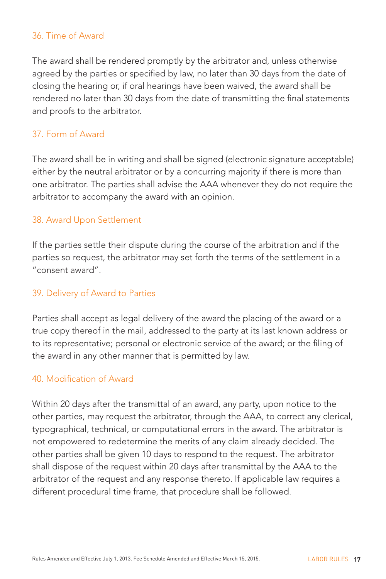#### 36. Time of Award

The award shall be rendered promptly by the arbitrator and, unless otherwise agreed by the parties or specified by law, no later than 30 days from the date of closing the hearing or, if oral hearings have been waived, the award shall be rendered no later than 30 days from the date of transmitting the final statements and proofs to the arbitrator.

#### 37. Form of Award

The award shall be in writing and shall be signed (electronic signature acceptable) either by the neutral arbitrator or by a concurring majority if there is more than one arbitrator. The parties shall advise the AAA whenever they do not require the arbitrator to accompany the award with an opinion.

#### 38. Award Upon Settlement

If the parties settle their dispute during the course of the arbitration and if the parties so request, the arbitrator may set forth the terms of the settlement in a "consent award".

#### 39. Delivery of Award to Parties

Parties shall accept as legal delivery of the award the placing of the award or a true copy thereof in the mail, addressed to the party at its last known address or to its representative; personal or electronic service of the award; or the filing of the award in any other manner that is permitted by law.

#### 40. Modification of Award

Within 20 days after the transmittal of an award, any party, upon notice to the other parties, may request the arbitrator, through the AAA, to correct any clerical, typographical, technical, or computational errors in the award. The arbitrator is not empowered to redetermine the merits of any claim already decided. The other parties shall be given 10 days to respond to the request. The arbitrator shall dispose of the request within 20 days after transmittal by the AAA to the arbitrator of the request and any response thereto. If applicable law requires a different procedural time frame, that procedure shall be followed.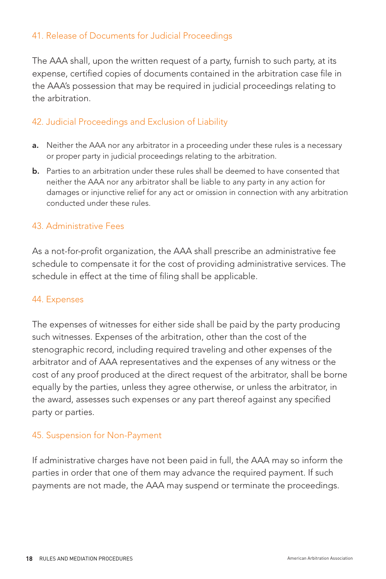#### 41. Release of Documents for Judicial Proceedings

The AAA shall, upon the written request of a party, furnish to such party, at its expense, certified copies of documents contained in the arbitration case file in the AAA's possession that may be required in judicial proceedings relating to the arbitration.

#### 42. Judicial Proceedings and Exclusion of Liability

- a. Neither the AAA nor any arbitrator in a proceeding under these rules is a necessary or proper party in judicial proceedings relating to the arbitration.
- b. Parties to an arbitration under these rules shall be deemed to have consented that neither the AAA nor any arbitrator shall be liable to any party in any action for damages or injunctive relief for any act or omission in connection with any arbitration conducted under these rules.

#### 43. Administrative Fees

As a not-for-profit organization, the AAA shall prescribe an administrative fee schedule to compensate it for the cost of providing administrative services. The schedule in effect at the time of filing shall be applicable.

#### 44. Expenses

The expenses of witnesses for either side shall be paid by the party producing such witnesses. Expenses of the arbitration, other than the cost of the stenographic record, including required traveling and other expenses of the arbitrator and of AAA representatives and the expenses of any witness or the cost of any proof produced at the direct request of the arbitrator, shall be borne equally by the parties, unless they agree otherwise, or unless the arbitrator, in the award, assesses such expenses or any part thereof against any specified party or parties.

#### 45. Suspension for Non-Payment

If administrative charges have not been paid in full, the AAA may so inform the parties in order that one of them may advance the required payment. If such payments are not made, the AAA may suspend or terminate the proceedings.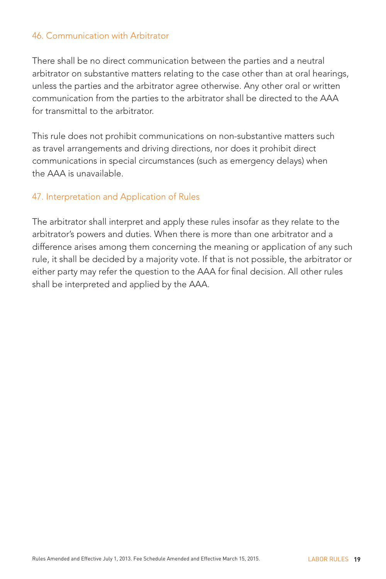#### 46. Communication with Arbitrator

There shall be no direct communication between the parties and a neutral arbitrator on substantive matters relating to the case other than at oral hearings, unless the parties and the arbitrator agree otherwise. Any other oral or written communication from the parties to the arbitrator shall be directed to the AAA for transmittal to the arbitrator.

This rule does not prohibit communications on non-substantive matters such as travel arrangements and driving directions, nor does it prohibit direct communications in special circumstances (such as emergency delays) when the AAA is unavailable.

#### 47. Interpretation and Application of Rules

The arbitrator shall interpret and apply these rules insofar as they relate to the arbitrator's powers and duties. When there is more than one arbitrator and a difference arises among them concerning the meaning or application of any such rule, it shall be decided by a majority vote. If that is not possible, the arbitrator or either party may refer the question to the AAA for final decision. All other rules shall be interpreted and applied by the AAA.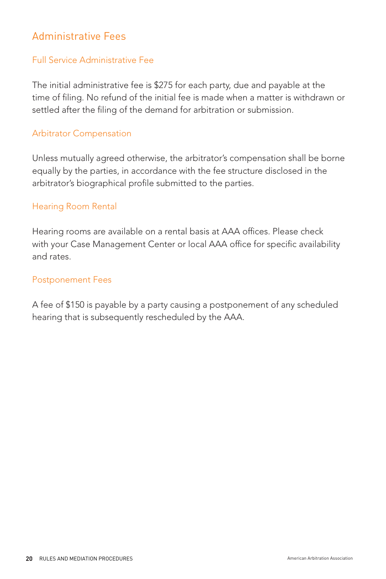# Administrative Fees

#### Full Service Administrative Fee

The initial administrative fee is \$275 for each party, due and payable at the time of filing. No refund of the initial fee is made when a matter is withdrawn or settled after the filing of the demand for arbitration or submission.

#### Arbitrator Compensation

Unless mutually agreed otherwise, the arbitrator's compensation shall be borne equally by the parties, in accordance with the fee structure disclosed in the arbitrator's biographical profile submitted to the parties.

#### Hearing Room Rental

Hearing rooms are available on a rental basis at AAA offices. Please check with your Case Management Center or local AAA office for specific availability and rates.

#### Postponement Fees

A fee of \$150 is payable by a party causing a postponement of any scheduled hearing that is subsequently rescheduled by the AAA.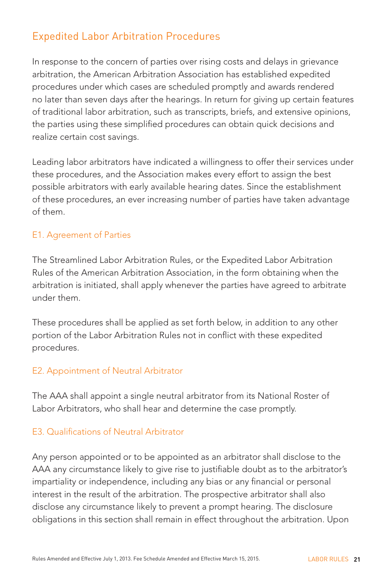# Expedited Labor Arbitration Procedures

In response to the concern of parties over rising costs and delays in grievance arbitration, the American Arbitration Association has established expedited procedures under which cases are scheduled promptly and awards rendered no later than seven days after the hearings. In return for giving up certain features of traditional labor arbitration, such as transcripts, briefs, and extensive opinions, the parties using these simplified procedures can obtain quick decisions and realize certain cost savings.

Leading labor arbitrators have indicated a willingness to offer their services under these procedures, and the Association makes every effort to assign the best possible arbitrators with early available hearing dates. Since the establishment of these procedures, an ever increasing number of parties have taken advantage of them.

#### E1. Agreement of Parties

The Streamlined Labor Arbitration Rules, or the Expedited Labor Arbitration Rules of the American Arbitration Association, in the form obtaining when the arbitration is initiated, shall apply whenever the parties have agreed to arbitrate under them.

These procedures shall be applied as set forth below, in addition to any other portion of the Labor Arbitration Rules not in conflict with these expedited procedures.

#### E2. Appointment of Neutral Arbitrator

The AAA shall appoint a single neutral arbitrator from its National Roster of Labor Arbitrators, who shall hear and determine the case promptly.

#### E3. Qualifications of Neutral Arbitrator

Any person appointed or to be appointed as an arbitrator shall disclose to the AAA any circumstance likely to give rise to justifiable doubt as to the arbitrator's impartiality or independence, including any bias or any financial or personal interest in the result of the arbitration. The prospective arbitrator shall also disclose any circumstance likely to prevent a prompt hearing. The disclosure obligations in this section shall remain in effect throughout the arbitration. Upon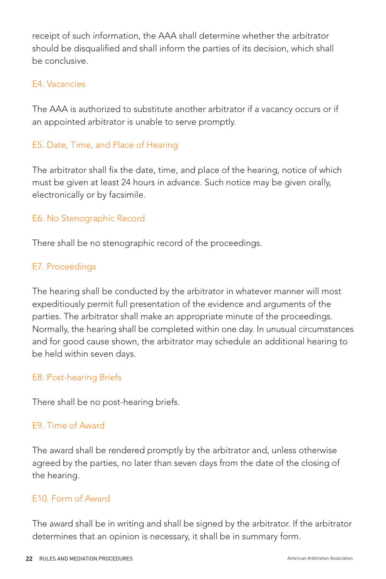receipt of such information, the AAA shall determine whether the arbitrator should be disqualified and shall inform the parties of its decision, which shall be conclusive.

#### E4. Vacancies

The AAA is authorized to substitute another arbitrator if a vacancy occurs or if an appointed arbitrator is unable to serve promptly.

#### E5. Date, Time, and Place of Hearing

The arbitrator shall fix the date, time, and place of the hearing, notice of which must be given at least 24 hours in advance. Such notice may be given orally, electronically or by facsimile.

#### E6. No Stenographic Record

There shall be no stenographic record of the proceedings.

#### E7. Proceedings

The hearing shall be conducted by the arbitrator in whatever manner will most expeditiously permit full presentation of the evidence and arguments of the parties. The arbitrator shall make an appropriate minute of the proceedings. Normally, the hearing shall be completed within one day. In unusual circumstances and for good cause shown, the arbitrator may schedule an additional hearing to be held within seven days.

#### E8. Post-hearing Briefs

There shall be no post-hearing briefs.

#### E9. Time of Award

The award shall be rendered promptly by the arbitrator and, unless otherwise agreed by the parties, no later than seven days from the date of the closing of the hearing.

#### E10. Form of Award

The award shall be in writing and shall be signed by the arbitrator. If the arbitrator determines that an opinion is necessary, it shall be in summary form.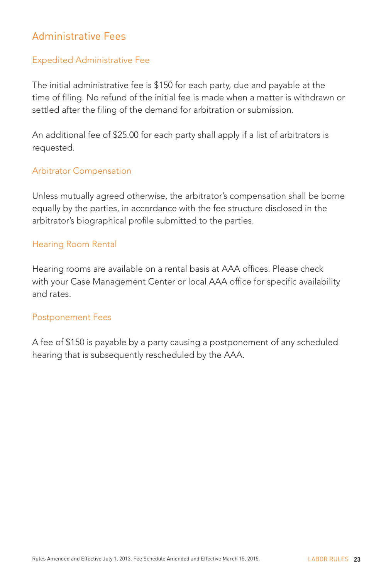# Administrative Fees

#### Expedited Administrative Fee

The initial administrative fee is \$150 for each party, due and payable at the time of filing. No refund of the initial fee is made when a matter is withdrawn or settled after the filing of the demand for arbitration or submission.

An additional fee of \$25.00 for each party shall apply if a list of arbitrators is requested.

#### Arbitrator Compensation

Unless mutually agreed otherwise, the arbitrator's compensation shall be borne equally by the parties, in accordance with the fee structure disclosed in the arbitrator's biographical profile submitted to the parties.

#### Hearing Room Rental

Hearing rooms are available on a rental basis at AAA offices. Please check with your Case Management Center or local AAA office for specific availability and rates.

#### Postponement Fees

A fee of \$150 is payable by a party causing a postponement of any scheduled hearing that is subsequently rescheduled by the AAA.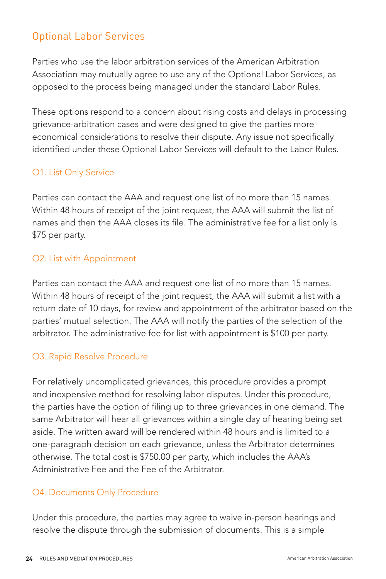# Optional Labor Services

Parties who use the labor arbitration services of the American Arbitration Association may mutually agree to use any of the Optional Labor Services, as opposed to the process being managed under the standard Labor Rules.

These options respond to a concern about rising costs and delays in processing grievance-arbitration cases and were designed to give the parties more economical considerations to resolve their dispute. Any issue not specifically identified under these Optional Labor Services will default to the Labor Rules.

#### O1. List Only Service

Parties can contact the AAA and request one list of no more than 15 names. Within 48 hours of receipt of the joint request, the AAA will submit the list of names and then the AAA closes its file. The administrative fee for a list only is \$75 per party.

#### O2. List with Appointment

Parties can contact the AAA and request one list of no more than 15 names. Within 48 hours of receipt of the joint request, the AAA will submit a list with a return date of 10 days, for review and appointment of the arbitrator based on the parties' mutual selection. The AAA will notify the parties of the selection of the arbitrator. The administrative fee for list with appointment is \$100 per party.

#### O3. Rapid Resolve Procedure

For relatively uncomplicated grievances, this procedure provides a prompt and inexpensive method for resolving labor disputes. Under this procedure, the parties have the option of filing up to three grievances in one demand. The same Arbitrator will hear all grievances within a single day of hearing being set aside. The written award will be rendered within 48 hours and is limited to a one-paragraph decision on each grievance, unless the Arbitrator determines otherwise. The total cost is \$750.00 per party, which includes the AAA's Administrative Fee and the Fee of the Arbitrator.

#### O4. Documents Only Procedure

Under this procedure, the parties may agree to waive in-person hearings and resolve the dispute through the submission of documents. This is a simple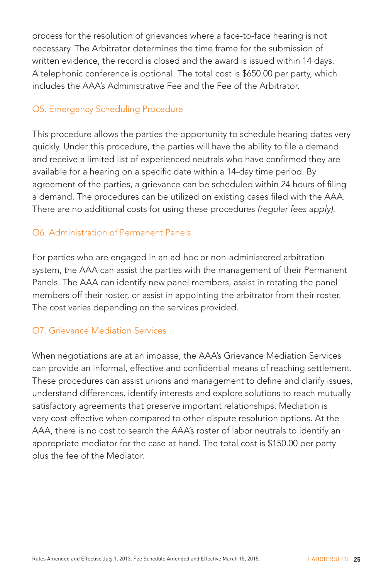process for the resolution of grievances where a face-to-face hearing is not necessary. The Arbitrator determines the time frame for the submission of written evidence, the record is closed and the award is issued within 14 days. A telephonic conference is optional. The total cost is \$650.00 per party, which includes the AAA's Administrative Fee and the Fee of the Arbitrator.

#### O5. Emergency Scheduling Procedure

This procedure allows the parties the opportunity to schedule hearing dates very quickly. Under this procedure, the parties will have the ability to file a demand and receive a limited list of experienced neutrals who have confirmed they are available for a hearing on a specific date within a 14-day time period. By agreement of the parties, a grievance can be scheduled within 24 hours of filing a demand. The procedures can be utilized on existing cases filed with the AAA. There are no additional costs for using these procedures *(regular fees apply)*.

#### O6. Administration of Permanent Panels

For parties who are engaged in an ad-hoc or non-administered arbitration system, the AAA can assist the parties with the management of their Permanent Panels. The AAA can identify new panel members, assist in rotating the panel members off their roster, or assist in appointing the arbitrator from their roster. The cost varies depending on the services provided.

#### O7. Grievance Mediation Services

When negotiations are at an impasse, the AAA's Grievance Mediation Services can provide an informal, effective and confidential means of reaching settlement. These procedures can assist unions and management to define and clarify issues, understand differences, identify interests and explore solutions to reach mutually satisfactory agreements that preserve important relationships. Mediation is very cost-effective when compared to other dispute resolution options. At the AAA, there is no cost to search the AAA's roster of labor neutrals to identify an appropriate mediator for the case at hand. The total cost is \$150.00 per party plus the fee of the Mediator.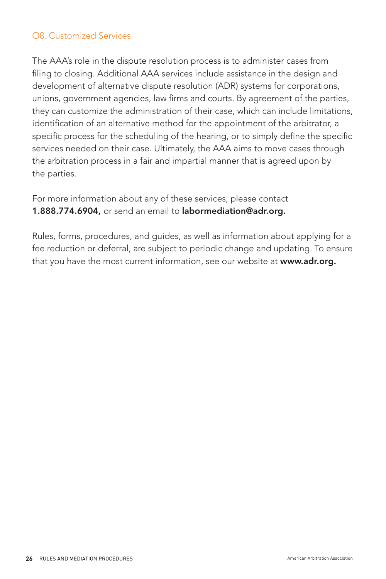#### O8. Customized Services

The AAA's role in the dispute resolution process is to administer cases from filing to closing. Additional AAA services include assistance in the design and development of alternative dispute resolution (ADR) systems for corporations, unions, government agencies, law firms and courts. By agreement of the parties, they can customize the administration of their case, which can include limitations, identification of an alternative method for the appointment of the arbitrator, a specific process for the scheduling of the hearing, or to simply define the specific services needed on their case. Ultimately, the AAA aims to move cases through the arbitration process in a fair and impartial manner that is agreed upon by the parties.

For more information about any of these services, please contact 1.888.774.6904, or send an email to labormediation@adr.org.

Rules, forms, procedures, and guides, as well as information about applying for a fee reduction or deferral, are subject to periodic change and updating. To ensure that you have the most current information, see our website at www.adr.org.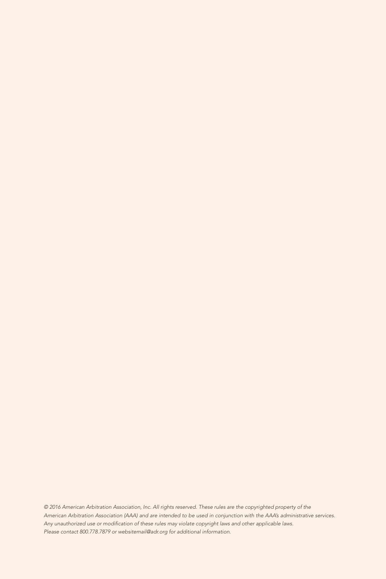*© 2016 American Arbitration Association, Inc. All rights reserved. These rules are the copyrighted property of the American Arbitration Association (AAA) and are intended to be used in conjunction with the AAA's administrative services. Any unauthorized use or modification of these rules may violate copyright laws and other applicable laws. Please contact 800.778.7879 or websitemail@adr.org for additional information.*